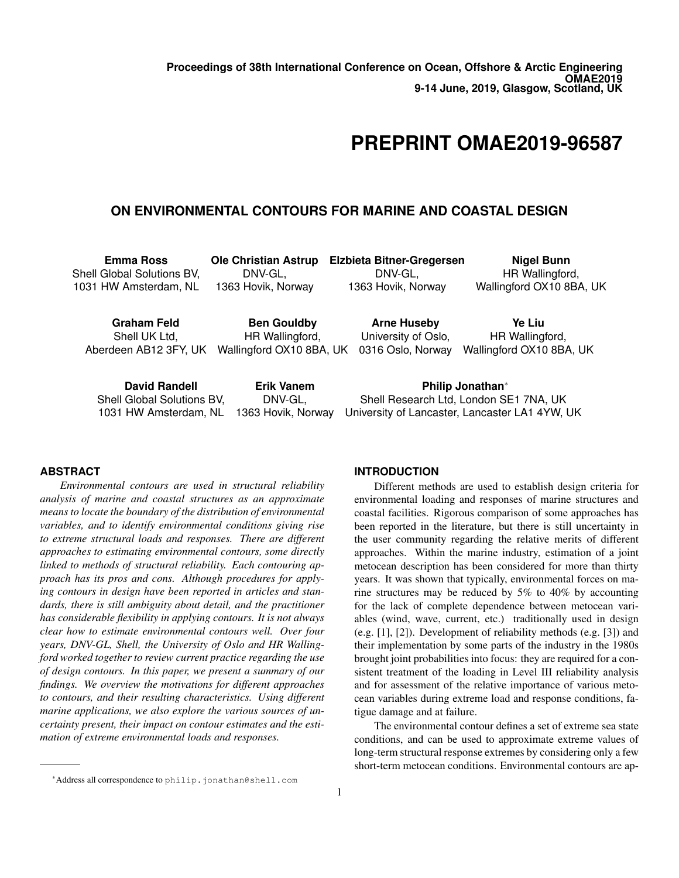# **PREPRINT OMAE2019-96587**

# **ON ENVIRONMENTAL CONTOURS FOR MARINE AND COASTAL DESIGN**

| <b>Emma Ross</b>                                                                                                                  | <b>Ole Christian Astrup</b> | <b>Elzbieta Bitner-Gregersen</b>                                                                             | Nigel Bunn               |
|-----------------------------------------------------------------------------------------------------------------------------------|-----------------------------|--------------------------------------------------------------------------------------------------------------|--------------------------|
| Shell Global Solutions BV,                                                                                                        | DNV-GL,                     | DNV-GL,                                                                                                      | HR Wallingford,          |
| 1031 HW Amsterdam, NL                                                                                                             | 1363 Hovik, Norway          | 1363 Hovik, Norway                                                                                           | Wallingford OX10 8BA, UK |
| Graham Feld                                                                                                                       | <b>Ben Gouldby</b>          | <b>Arne Huseby</b>                                                                                           | Ye Liu                   |
| Shell UK Ltd,                                                                                                                     | HR Wallingford,             | University of Oslo,                                                                                          | HR Wallingford,          |
| Aberdeen AB12 3FY, UK                                                                                                             | Wallingford OX10 8BA, UK    | 0316 Oslo, Norway                                                                                            | Wallingford OX10 8BA, UK |
| <b>David Randell</b><br><b>Erik Vanem</b><br>Shell Global Solutions BV,<br>DNV-GL,<br>1363 Hovik, Norway<br>1031 HW Amsterdam, NL |                             | Philip Jonathan*<br>Shell Research Ltd, London SE1 7NA, UK<br>University of Lancaster, Lancaster LA1 4YW, UK |                          |

# **ABSTRACT**

*Environmental contours are used in structural reliability analysis of marine and coastal structures as an approximate means to locate the boundary of the distribution of environmental variables, and to identify environmental conditions giving rise to extreme structural loads and responses. There are different approaches to estimating environmental contours, some directly linked to methods of structural reliability. Each contouring approach has its pros and cons. Although procedures for applying contours in design have been reported in articles and standards, there is still ambiguity about detail, and the practitioner has considerable flexibility in applying contours. It is not always clear how to estimate environmental contours well. Over four years, DNV-GL, Shell, the University of Oslo and HR Wallingford worked together to review current practice regarding the use of design contours. In this paper, we present a summary of our findings. We overview the motivations for different approaches to contours, and their resulting characteristics. Using different marine applications, we also explore the various sources of uncertainty present, their impact on contour estimates and the estimation of extreme environmental loads and responses.*

Different methods are used to establish design criteria for environmental loading and responses of marine structures and coastal facilities. Rigorous comparison of some approaches has been reported in the literature, but there is still uncertainty in the user community regarding the relative merits of different approaches. Within the marine industry, estimation of a joint metocean description has been considered for more than thirty years. It was shown that typically, environmental forces on marine structures may be reduced by 5% to 40% by accounting for the lack of complete dependence between metocean variables (wind, wave, current, etc.) traditionally used in design (e.g. [1], [2]). Development of reliability methods (e.g. [3]) and their implementation by some parts of the industry in the 1980s brought joint probabilities into focus: they are required for a consistent treatment of the loading in Level III reliability analysis and for assessment of the relative importance of various metocean variables during extreme load and response conditions, fatigue damage and at failure.

The environmental contour defines a set of extreme sea state conditions, and can be used to approximate extreme values of long-term structural response extremes by considering only a few short-term metocean conditions. Environmental contours are ap-

**INTRODUCTION**

<sup>∗</sup>Address all correspondence to philip.jonathan@shell.com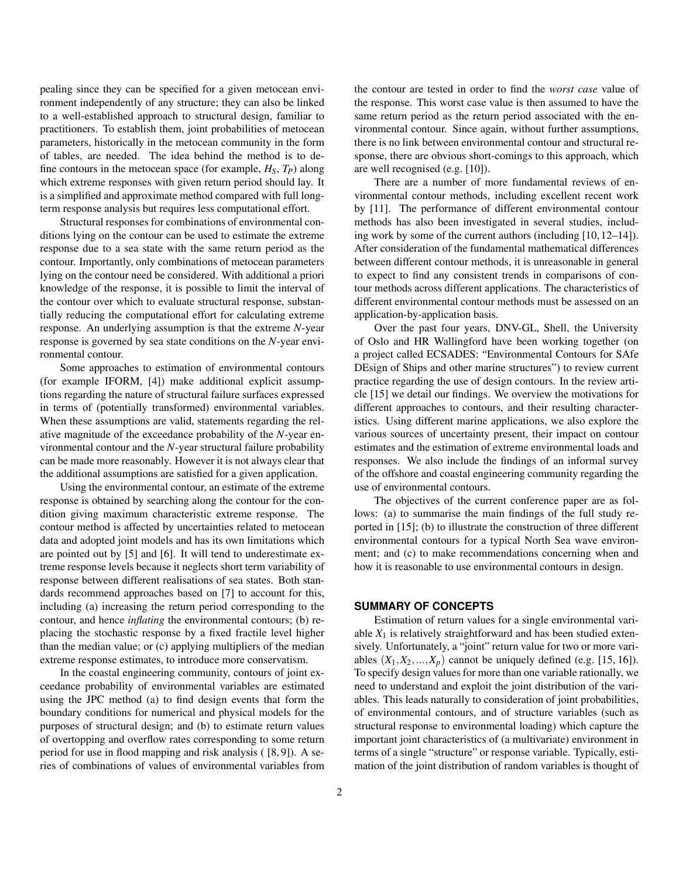pealing since they can be specified for a given metocean environment independently of any structure; they can also be linked to a well-established approach to structural design, familiar to practitioners. To establish them, joint probabilities of metocean parameters, historically in the metocean community in the form of tables, are needed. The idea behind the method is to define contours in the metocean space (for example,  $H_S$ ,  $T_P$ ) along which extreme responses with given return period should lay. It is a simplified and approximate method compared with full longterm response analysis but requires less computational effort.

Structural responses for combinations of environmental conditions lying on the contour can be used to estimate the extreme response due to a sea state with the same return period as the contour. Importantly, only combinations of metocean parameters lying on the contour need be considered. With additional a priori knowledge of the response, it is possible to limit the interval of the contour over which to evaluate structural response, substantially reducing the computational effort for calculating extreme response. An underlying assumption is that the extreme *N*-year response is governed by sea state conditions on the *N*-year environmental contour.

Some approaches to estimation of environmental contours (for example IFORM, [4]) make additional explicit assumptions regarding the nature of structural failure surfaces expressed in terms of (potentially transformed) environmental variables. When these assumptions are valid, statements regarding the relative magnitude of the exceedance probability of the *N*-year environmental contour and the *N*-year structural failure probability can be made more reasonably. However it is not always clear that the additional assumptions are satisfied for a given application.

Using the environmental contour, an estimate of the extreme response is obtained by searching along the contour for the condition giving maximum characteristic extreme response. The contour method is affected by uncertainties related to metocean data and adopted joint models and has its own limitations which are pointed out by [5] and [6]. It will tend to underestimate extreme response levels because it neglects short term variability of response between different realisations of sea states. Both standards recommend approaches based on [7] to account for this, including (a) increasing the return period corresponding to the contour, and hence *inflating* the environmental contours; (b) replacing the stochastic response by a fixed fractile level higher than the median value; or (c) applying multipliers of the median extreme response estimates, to introduce more conservatism.

In the coastal engineering community, contours of joint exceedance probability of environmental variables are estimated using the JPC method (a) to find design events that form the boundary conditions for numerical and physical models for the purposes of structural design; and (b) to estimate return values of overtopping and overflow rates corresponding to some return period for use in flood mapping and risk analysis ( [8, 9]). A series of combinations of values of environmental variables from

the contour are tested in order to find the *worst case* value of the response. This worst case value is then assumed to have the same return period as the return period associated with the environmental contour. Since again, without further assumptions, there is no link between environmental contour and structural response, there are obvious short-comings to this approach, which are well recognised (e.g. [10]).

There are a number of more fundamental reviews of environmental contour methods, including excellent recent work by [11]. The performance of different environmental contour methods has also been investigated in several studies, including work by some of the current authors (including [10, 12–14]). After consideration of the fundamental mathematical differences between different contour methods, it is unreasonable in general to expect to find any consistent trends in comparisons of contour methods across different applications. The characteristics of different environmental contour methods must be assessed on an application-by-application basis.

Over the past four years, DNV-GL, Shell, the University of Oslo and HR Wallingford have been working together (on a project called ECSADES: "Environmental Contours for SAfe DEsign of Ships and other marine structures") to review current practice regarding the use of design contours. In the review article [15] we detail our findings. We overview the motivations for different approaches to contours, and their resulting characteristics. Using different marine applications, we also explore the various sources of uncertainty present, their impact on contour estimates and the estimation of extreme environmental loads and responses. We also include the findings of an informal survey of the offshore and coastal engineering community regarding the use of environmental contours.

The objectives of the current conference paper are as follows: (a) to summarise the main findings of the full study reported in [15]; (b) to illustrate the construction of three different environmental contours for a typical North Sea wave environment; and (c) to make recommendations concerning when and how it is reasonable to use environmental contours in design.

# **SUMMARY OF CONCEPTS**

Estimation of return values for a single environmental variable  $X_1$  is relatively straightforward and has been studied extensively. Unfortunately, a "joint" return value for two or more variables  $(X_1, X_2, \ldots, X_p)$  cannot be uniquely defined (e.g. [15, 16]). To specify design values for more than one variable rationally, we need to understand and exploit the joint distribution of the variables. This leads naturally to consideration of joint probabilities, of environmental contours, and of structure variables (such as structural response to environmental loading) which capture the important joint characteristics of (a multivariate) environment in terms of a single "structure" or response variable. Typically, estimation of the joint distribution of random variables is thought of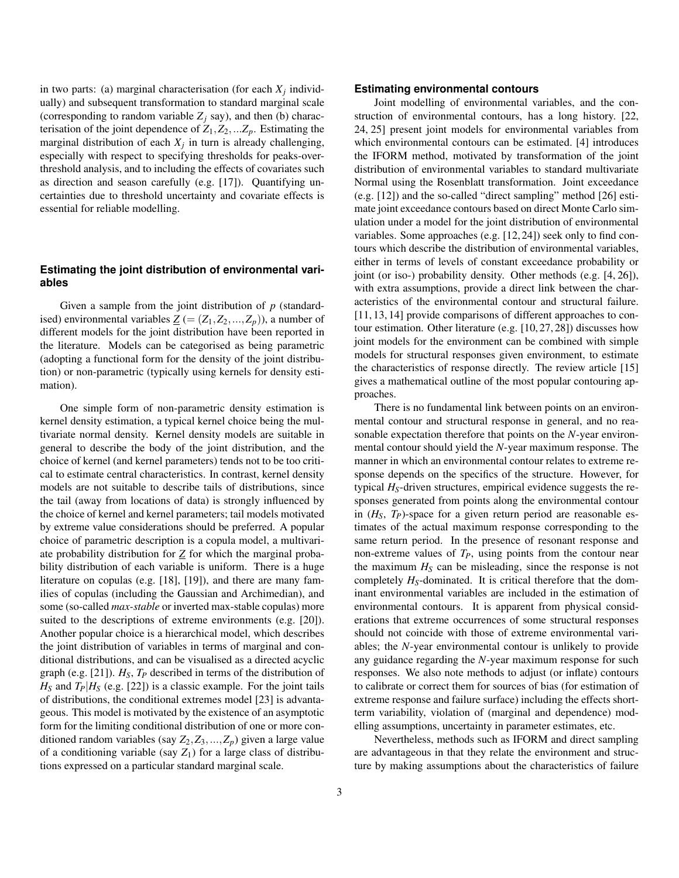in two parts: (a) marginal characterisation (for each  $X_j$  individually) and subsequent transformation to standard marginal scale (corresponding to random variable  $Z_i$  say), and then (b) characterisation of the joint dependence of  $Z_1, Z_2, ... Z_p$ . Estimating the marginal distribution of each  $X_j$  in turn is already challenging, especially with respect to specifying thresholds for peaks-overthreshold analysis, and to including the effects of covariates such as direction and season carefully (e.g. [17]). Quantifying uncertainties due to threshold uncertainty and covariate effects is essential for reliable modelling.

# **Estimating the joint distribution of environmental variables**

Given a sample from the joint distribution of *p* (standardised) environmental variables  $Z = (Z_1, Z_2, ..., Z_p)$ , a number of different models for the joint distribution have been reported in the literature. Models can be categorised as being parametric (adopting a functional form for the density of the joint distribution) or non-parametric (typically using kernels for density estimation).

One simple form of non-parametric density estimation is kernel density estimation, a typical kernel choice being the multivariate normal density. Kernel density models are suitable in general to describe the body of the joint distribution, and the choice of kernel (and kernel parameters) tends not to be too critical to estimate central characteristics. In contrast, kernel density models are not suitable to describe tails of distributions, since the tail (away from locations of data) is strongly influenced by the choice of kernel and kernel parameters; tail models motivated by extreme value considerations should be preferred. A popular choice of parametric description is a copula model, a multivariate probability distribution for *Z* for which the marginal probability distribution of each variable is uniform. There is a huge literature on copulas (e.g. [18], [19]), and there are many families of copulas (including the Gaussian and Archimedian), and some (so-called *max-stable* or inverted max-stable copulas) more suited to the descriptions of extreme environments (e.g. [20]). Another popular choice is a hierarchical model, which describes the joint distribution of variables in terms of marginal and conditional distributions, and can be visualised as a directed acyclic graph (e.g. [21]). *HS*, *T<sup>P</sup>* described in terms of the distribution of  $H<sub>S</sub>$  and  $T<sub>P</sub>$   $|H<sub>S</sub>$  (e.g. [22]) is a classic example. For the joint tails of distributions, the conditional extremes model [23] is advantageous. This model is motivated by the existence of an asymptotic form for the limiting conditional distribution of one or more conditioned random variables (say  $Z_2, Z_3, ..., Z_p$ ) given a large value of a conditioning variable (say  $Z_1$ ) for a large class of distributions expressed on a particular standard marginal scale.

#### **Estimating environmental contours**

Joint modelling of environmental variables, and the construction of environmental contours, has a long history. [22, 24, 25] present joint models for environmental variables from which environmental contours can be estimated. [4] introduces the IFORM method, motivated by transformation of the joint distribution of environmental variables to standard multivariate Normal using the Rosenblatt transformation. Joint exceedance (e.g. [12]) and the so-called "direct sampling" method [26] estimate joint exceedance contours based on direct Monte Carlo simulation under a model for the joint distribution of environmental variables. Some approaches (e.g. [12, 24]) seek only to find contours which describe the distribution of environmental variables, either in terms of levels of constant exceedance probability or joint (or iso-) probability density. Other methods (e.g. [4, 26]), with extra assumptions, provide a direct link between the characteristics of the environmental contour and structural failure. [11, 13, 14] provide comparisons of different approaches to contour estimation. Other literature (e.g. [10, 27, 28]) discusses how joint models for the environment can be combined with simple models for structural responses given environment, to estimate the characteristics of response directly. The review article [15] gives a mathematical outline of the most popular contouring approaches.

There is no fundamental link between points on an environmental contour and structural response in general, and no reasonable expectation therefore that points on the *N*-year environmental contour should yield the *N*-year maximum response. The manner in which an environmental contour relates to extreme response depends on the specifics of the structure. However, for typical  $H<sub>S</sub>$ -driven structures, empirical evidence suggests the responses generated from points along the environmental contour in  $(H<sub>S</sub>, T<sub>P</sub>)$ -space for a given return period are reasonable estimates of the actual maximum response corresponding to the same return period. In the presence of resonant response and non-extreme values of *TP*, using points from the contour near the maximum  $H<sub>S</sub>$  can be misleading, since the response is not completely  $H<sub>S</sub>$ -dominated. It is critical therefore that the dominant environmental variables are included in the estimation of environmental contours. It is apparent from physical considerations that extreme occurrences of some structural responses should not coincide with those of extreme environmental variables; the *N*-year environmental contour is unlikely to provide any guidance regarding the *N*-year maximum response for such responses. We also note methods to adjust (or inflate) contours to calibrate or correct them for sources of bias (for estimation of extreme response and failure surface) including the effects shortterm variability, violation of (marginal and dependence) modelling assumptions, uncertainty in parameter estimates, etc.

Nevertheless, methods such as IFORM and direct sampling are advantageous in that they relate the environment and structure by making assumptions about the characteristics of failure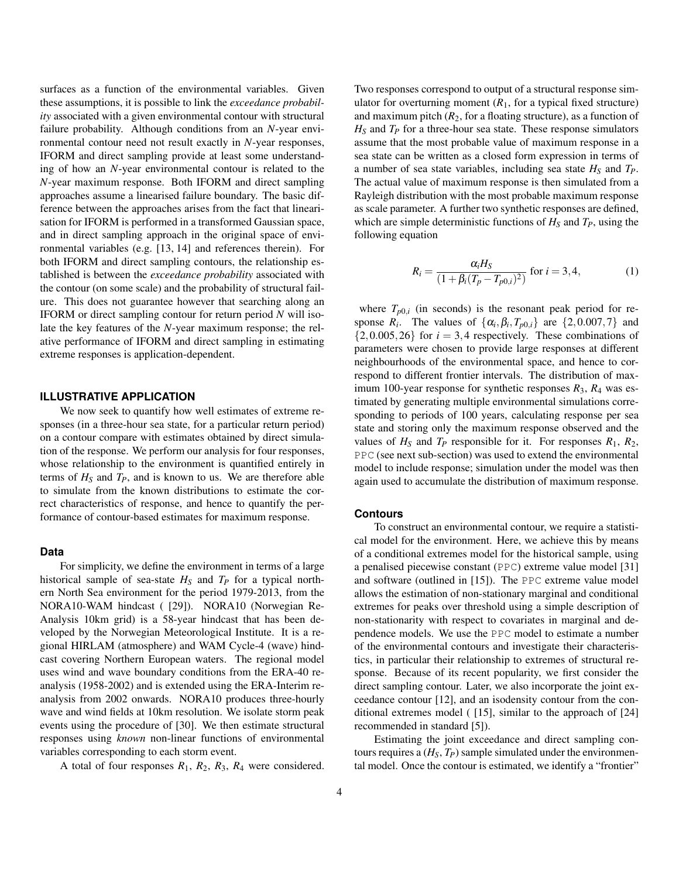surfaces as a function of the environmental variables. Given these assumptions, it is possible to link the *exceedance probability* associated with a given environmental contour with structural failure probability. Although conditions from an *N*-year environmental contour need not result exactly in *N*-year responses, IFORM and direct sampling provide at least some understanding of how an *N*-year environmental contour is related to the *N*-year maximum response. Both IFORM and direct sampling approaches assume a linearised failure boundary. The basic difference between the approaches arises from the fact that linearisation for IFORM is performed in a transformed Gaussian space, and in direct sampling approach in the original space of environmental variables (e.g. [13, 14] and references therein). For both IFORM and direct sampling contours, the relationship established is between the *exceedance probability* associated with the contour (on some scale) and the probability of structural failure. This does not guarantee however that searching along an IFORM or direct sampling contour for return period *N* will isolate the key features of the *N*-year maximum response; the relative performance of IFORM and direct sampling in estimating extreme responses is application-dependent.

## **ILLUSTRATIVE APPLICATION**

We now seek to quantify how well estimates of extreme responses (in a three-hour sea state, for a particular return period) on a contour compare with estimates obtained by direct simulation of the response. We perform our analysis for four responses, whose relationship to the environment is quantified entirely in terms of  $H_S$  and  $T_P$ , and is known to us. We are therefore able to simulate from the known distributions to estimate the correct characteristics of response, and hence to quantify the performance of contour-based estimates for maximum response.

#### **Data**

For simplicity, we define the environment in terms of a large historical sample of sea-state  $H<sub>S</sub>$  and  $T<sub>P</sub>$  for a typical northern North Sea environment for the period 1979-2013, from the NORA10-WAM hindcast ( [29]). NORA10 (Norwegian Re-Analysis 10km grid) is a 58-year hindcast that has been developed by the Norwegian Meteorological Institute. It is a regional HIRLAM (atmosphere) and WAM Cycle-4 (wave) hindcast covering Northern European waters. The regional model uses wind and wave boundary conditions from the ERA-40 reanalysis (1958-2002) and is extended using the ERA-Interim reanalysis from 2002 onwards. NORA10 produces three-hourly wave and wind fields at 10km resolution. We isolate storm peak events using the procedure of [30]. We then estimate structural responses using *known* non-linear functions of environmental variables corresponding to each storm event.

A total of four responses  $R_1$ ,  $R_2$ ,  $R_3$ ,  $R_4$  were considered.

Two responses correspond to output of a structural response simulator for overturning moment  $(R_1)$ , for a typical fixed structure) and maximum pitch  $(R_2)$ , for a floating structure), as a function of  $H<sub>S</sub>$  and  $T<sub>P</sub>$  for a three-hour sea state. These response simulators assume that the most probable value of maximum response in a sea state can be written as a closed form expression in terms of a number of sea state variables, including sea state *H<sup>S</sup>* and *TP*. The actual value of maximum response is then simulated from a Rayleigh distribution with the most probable maximum response as scale parameter. A further two synthetic responses are defined, which are simple deterministic functions of  $H<sub>S</sub>$  and  $T<sub>P</sub>$ , using the following equation

$$
R_i = \frac{\alpha_i H_S}{(1 + \beta_i (T_p - T_{p0,i})^2)} \text{ for } i = 3, 4,
$$
 (1)

where  $T_{p0,i}$  (in seconds) is the resonant peak period for response  $R_i$ . The values of  $\{\alpha_i, \beta_i, T_{p0,i}\}\$  are  $\{2, 0.007, 7\}\$  and  $\{2,0.005,26\}$  for  $i=3,4$  respectively. These combinations of parameters were chosen to provide large responses at different neighbourhoods of the environmental space, and hence to correspond to different frontier intervals. The distribution of maximum 100-year response for synthetic responses  $R_3$ ,  $R_4$  was estimated by generating multiple environmental simulations corresponding to periods of 100 years, calculating response per sea state and storing only the maximum response observed and the values of  $H_S$  and  $T_P$  responsible for it. For responses  $R_1, R_2,$ PPC (see next sub-section) was used to extend the environmental model to include response; simulation under the model was then again used to accumulate the distribution of maximum response.

#### **Contours**

To construct an environmental contour, we require a statistical model for the environment. Here, we achieve this by means of a conditional extremes model for the historical sample, using a penalised piecewise constant (PPC) extreme value model [31] and software (outlined in [15]). The PPC extreme value model allows the estimation of non-stationary marginal and conditional extremes for peaks over threshold using a simple description of non-stationarity with respect to covariates in marginal and dependence models. We use the PPC model to estimate a number of the environmental contours and investigate their characteristics, in particular their relationship to extremes of structural response. Because of its recent popularity, we first consider the direct sampling contour. Later, we also incorporate the joint exceedance contour [12], and an isodensity contour from the conditional extremes model ( [15], similar to the approach of [24] recommended in standard [5]).

Estimating the joint exceedance and direct sampling contours requires a  $(H<sub>S</sub>, T<sub>P</sub>)$  sample simulated under the environmental model. Once the contour is estimated, we identify a "frontier"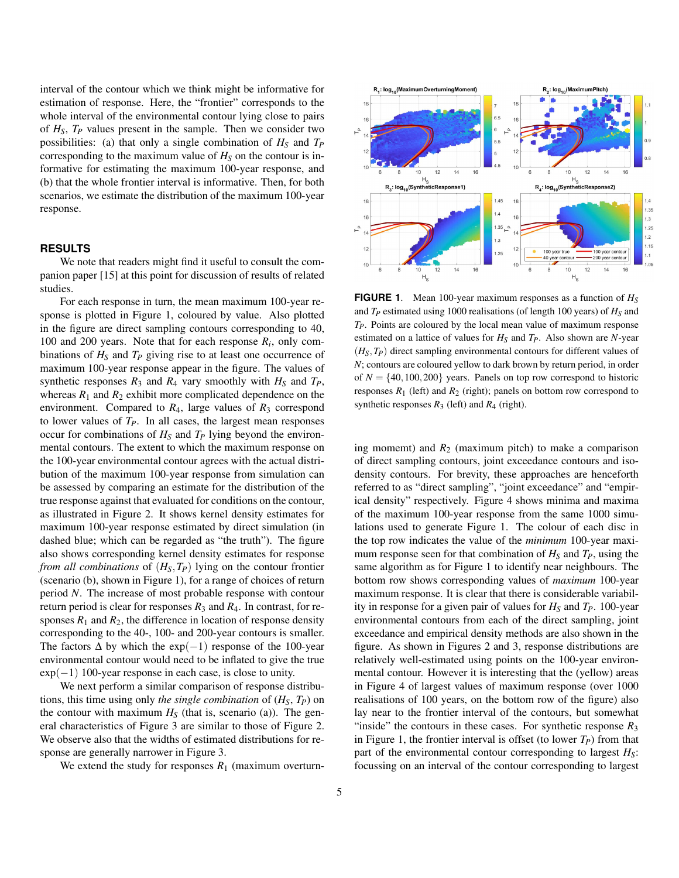interval of the contour which we think might be informative for estimation of response. Here, the "frontier" corresponds to the whole interval of the environmental contour lying close to pairs of *HS*, *T<sup>P</sup>* values present in the sample. Then we consider two possibilities: (a) that only a single combination of *H<sup>S</sup>* and *T<sup>P</sup>* corresponding to the maximum value of  $H<sub>S</sub>$  on the contour is informative for estimating the maximum 100-year response, and (b) that the whole frontier interval is informative. Then, for both scenarios, we estimate the distribution of the maximum 100-year response.

#### **RESULTS**

We note that readers might find it useful to consult the companion paper [15] at this point for discussion of results of related studies.

For each response in turn, the mean maximum 100-year response is plotted in Figure 1, coloured by value. Also plotted in the figure are direct sampling contours corresponding to 40, 100 and 200 years. Note that for each response *R<sup>i</sup>* , only combinations of *H<sup>S</sup>* and *T<sup>P</sup>* giving rise to at least one occurrence of maximum 100-year response appear in the figure. The values of synthetic responses  $R_3$  and  $R_4$  vary smoothly with  $H_S$  and  $T_P$ , whereas  $R_1$  and  $R_2$  exhibit more complicated dependence on the environment. Compared to  $R_4$ , large values of  $R_3$  correspond to lower values of  $T_P$ . In all cases, the largest mean responses occur for combinations of *H<sup>S</sup>* and *T<sup>P</sup>* lying beyond the environmental contours. The extent to which the maximum response on the 100-year environmental contour agrees with the actual distribution of the maximum 100-year response from simulation can be assessed by comparing an estimate for the distribution of the true response against that evaluated for conditions on the contour, as illustrated in Figure 2. It shows kernel density estimates for maximum 100-year response estimated by direct simulation (in dashed blue; which can be regarded as "the truth"). The figure also shows corresponding kernel density estimates for response *from all combinations* of (*HS*,*TP*) lying on the contour frontier (scenario (b), shown in Figure 1), for a range of choices of return period *N*. The increase of most probable response with contour return period is clear for responses  $R_3$  and  $R_4$ . In contrast, for responses  $R_1$  and  $R_2$ , the difference in location of response density corresponding to the 40-, 100- and 200-year contours is smaller. The factors  $\Delta$  by which the exp(-1) response of the 100-year environmental contour would need to be inflated to give the true  $\exp(-1)$  100-year response in each case, is close to unity.

We next perform a similar comparison of response distributions, this time using only *the single combination* of (*HS*, *TP*) on the contour with maximum  $H<sub>S</sub>$  (that is, scenario (a)). The general characteristics of Figure 3 are similar to those of Figure 2. We observe also that the widths of estimated distributions for response are generally narrower in Figure 3.

We extend the study for responses  $R_1$  (maximum overturn-



**FIGURE 1**. Mean 100-year maximum responses as a function of *H<sup>S</sup>* and *T<sup>P</sup>* estimated using 1000 realisations (of length 100 years) of *H<sup>S</sup>* and *TP*. Points are coloured by the local mean value of maximum response estimated on a lattice of values for *H<sup>S</sup>* and *TP*. Also shown are *N*-year (*HS*,*TP*) direct sampling environmental contours for different values of *N*; contours are coloured yellow to dark brown by return period, in order of  $N = \{40, 100, 200\}$  years. Panels on top row correspond to historic responses  $R_1$  (left) and  $R_2$  (right); panels on bottom row correspond to synthetic responses  $R_3$  (left) and  $R_4$  (right).

ing momemt) and  $R_2$  (maximum pitch) to make a comparison of direct sampling contours, joint exceedance contours and isodensity contours. For brevity, these approaches are henceforth referred to as "direct sampling", "joint exceedance" and "empirical density" respectively. Figure 4 shows minima and maxima of the maximum 100-year response from the same 1000 simulations used to generate Figure 1. The colour of each disc in the top row indicates the value of the *minimum* 100-year maximum response seen for that combination of  $H<sub>S</sub>$  and  $T<sub>P</sub>$ , using the same algorithm as for Figure 1 to identify near neighbours. The bottom row shows corresponding values of *maximum* 100-year maximum response. It is clear that there is considerable variability in response for a given pair of values for  $H<sub>S</sub>$  and  $T<sub>P</sub>$ . 100-year environmental contours from each of the direct sampling, joint exceedance and empirical density methods are also shown in the figure. As shown in Figures 2 and 3, response distributions are relatively well-estimated using points on the 100-year environmental contour. However it is interesting that the (yellow) areas in Figure 4 of largest values of maximum response (over 1000 realisations of 100 years, on the bottom row of the figure) also lay near to the frontier interval of the contours, but somewhat "inside" the contours in these cases. For synthetic response  $R_3$ in Figure 1, the frontier interval is offset (to lower  $T_P$ ) from that part of the environmental contour corresponding to largest *HS*: focussing on an interval of the contour corresponding to largest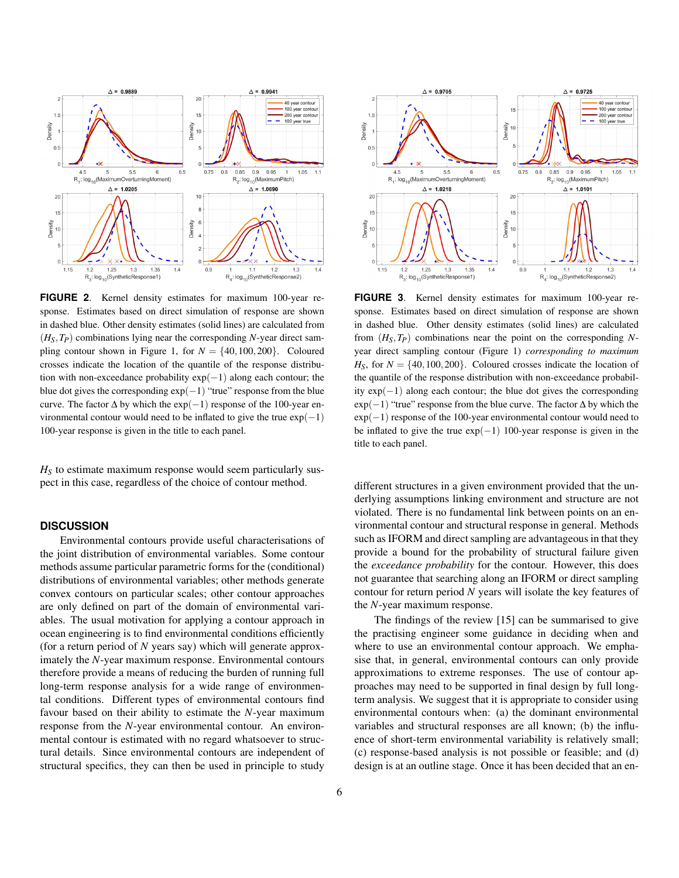

**FIGURE 2**. Kernel density estimates for maximum 100-year response. Estimates based on direct simulation of response are shown in dashed blue. Other density estimates (solid lines) are calculated from  $(H_S, T_P)$  combinations lying near the corresponding *N*-year direct sampling contour shown in Figure 1, for  $N = \{40, 100, 200\}$ . Coloured crosses indicate the location of the quantile of the response distribution with non-exceedance probability  $exp(-1)$  along each contour; the blue dot gives the corresponding  $exp(-1)$  "true" response from the blue curve. The factor  $\Delta$  by which the exp(-1) response of the 100-year environmental contour would need to be inflated to give the true  $exp(-1)$ 100-year response is given in the title to each panel.

 $H<sub>S</sub>$  to estimate maximum response would seem particularly suspect in this case, regardless of the choice of contour method.

# **DISCUSSION**

Environmental contours provide useful characterisations of the joint distribution of environmental variables. Some contour methods assume particular parametric forms for the (conditional) distributions of environmental variables; other methods generate convex contours on particular scales; other contour approaches are only defined on part of the domain of environmental variables. The usual motivation for applying a contour approach in ocean engineering is to find environmental conditions efficiently (for a return period of *N* years say) which will generate approximately the *N*-year maximum response. Environmental contours therefore provide a means of reducing the burden of running full long-term response analysis for a wide range of environmental conditions. Different types of environmental contours find favour based on their ability to estimate the *N*-year maximum response from the *N*-year environmental contour. An environmental contour is estimated with no regard whatsoever to structural details. Since environmental contours are independent of structural specifics, they can then be used in principle to study



**FIGURE 3**. Kernel density estimates for maximum 100-year response. Estimates based on direct simulation of response are shown in dashed blue. Other density estimates (solid lines) are calculated from  $(H_S, T_P)$  combinations near the point on the corresponding Nyear direct sampling contour (Figure 1) *corresponding to maximum*  $H<sub>S</sub>$ , for  $N = \{40, 100, 200\}$ . Coloured crosses indicate the location of the quantile of the response distribution with non-exceedance probability exp(−1) along each contour; the blue dot gives the corresponding  $exp(-1)$  "true" response from the blue curve. The factor  $\Delta$  by which the  $exp(-1)$  response of the 100-year environmental contour would need to be inflated to give the true  $exp(-1)$  100-year response is given in the title to each panel.

different structures in a given environment provided that the underlying assumptions linking environment and structure are not violated. There is no fundamental link between points on an environmental contour and structural response in general. Methods such as IFORM and direct sampling are advantageous in that they provide a bound for the probability of structural failure given the *exceedance probability* for the contour. However, this does not guarantee that searching along an IFORM or direct sampling contour for return period *N* years will isolate the key features of the *N*-year maximum response.

The findings of the review [15] can be summarised to give the practising engineer some guidance in deciding when and where to use an environmental contour approach. We emphasise that, in general, environmental contours can only provide approximations to extreme responses. The use of contour approaches may need to be supported in final design by full longterm analysis. We suggest that it is appropriate to consider using environmental contours when: (a) the dominant environmental variables and structural responses are all known; (b) the influence of short-term environmental variability is relatively small; (c) response-based analysis is not possible or feasible; and (d) design is at an outline stage. Once it has been decided that an en-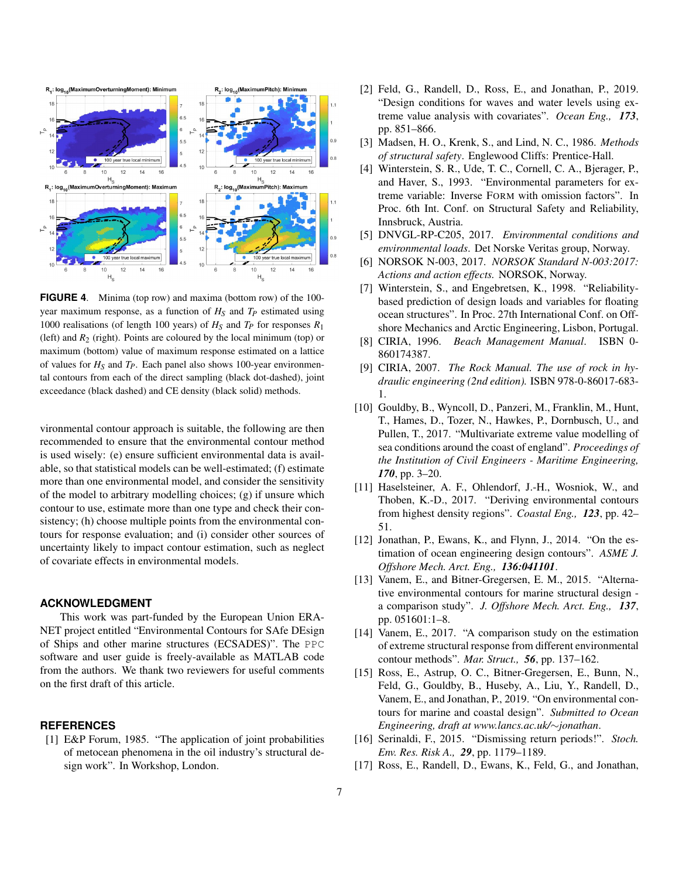

**FIGURE 4**. Minima (top row) and maxima (bottom row) of the 100 year maximum response, as a function of *H<sup>S</sup>* and *T<sup>P</sup>* estimated using 1000 realisations (of length 100 years) of  $H<sub>S</sub>$  and  $T<sub>P</sub>$  for responses  $R<sub>1</sub>$ (left) and  $R_2$  (right). Points are coloured by the local minimum (top) or maximum (bottom) value of maximum response estimated on a lattice of values for  $H_S$  and  $T_P$ . Each panel also shows 100-year environmental contours from each of the direct sampling (black dot-dashed), joint exceedance (black dashed) and CE density (black solid) methods.

vironmental contour approach is suitable, the following are then recommended to ensure that the environmental contour method is used wisely: (e) ensure sufficient environmental data is available, so that statistical models can be well-estimated; (f) estimate more than one environmental model, and consider the sensitivity of the model to arbitrary modelling choices; (g) if unsure which contour to use, estimate more than one type and check their consistency; (h) choose multiple points from the environmental contours for response evaluation; and (i) consider other sources of uncertainty likely to impact contour estimation, such as neglect of covariate effects in environmental models.

# **ACKNOWLEDGMENT**

This work was part-funded by the European Union ERA-NET project entitled "Environmental Contours for SAfe DEsign of Ships and other marine structures (ECSADES)". The PPC software and user guide is freely-available as MATLAB code from the authors. We thank two reviewers for useful comments on the first draft of this article.

# **REFERENCES**

[1] E&P Forum, 1985. "The application of joint probabilities of metocean phenomena in the oil industry's structural design work". In Workshop, London.

- [2] Feld, G., Randell, D., Ross, E., and Jonathan, P., 2019. "Design conditions for waves and water levels using extreme value analysis with covariates". *Ocean Eng., 173*, pp. 851–866.
- [3] Madsen, H. O., Krenk, S., and Lind, N. C., 1986. *Methods of structural safety*. Englewood Cliffs: Prentice-Hall.
- [4] Winterstein, S. R., Ude, T. C., Cornell, C. A., Bjerager, P., and Haver, S., 1993. "Environmental parameters for extreme variable: Inverse FORM with omission factors". In Proc. 6th Int. Conf. on Structural Safety and Reliability, Innsbruck, Austria.
- [5] DNVGL-RP-C205, 2017. *Environmental conditions and environmental loads*. Det Norske Veritas group, Norway.
- [6] NORSOK N-003, 2017. *NORSOK Standard N-003:2017: Actions and action effects.* NORSOK, Norway.
- [7] Winterstein, S., and Engebretsen, K., 1998. "Reliabilitybased prediction of design loads and variables for floating ocean structures". In Proc. 27th International Conf. on Offshore Mechanics and Arctic Engineering, Lisbon, Portugal.
- [8] CIRIA, 1996. *Beach Management Manual*. ISBN 0- 860174387.
- [9] CIRIA, 2007. *The Rock Manual. The use of rock in hydraulic engineering (2nd edition).* ISBN 978-0-86017-683- 1.
- [10] Gouldby, B., Wyncoll, D., Panzeri, M., Franklin, M., Hunt, T., Hames, D., Tozer, N., Hawkes, P., Dornbusch, U., and Pullen, T., 2017. "Multivariate extreme value modelling of sea conditions around the coast of england". *Proceedings of the Institution of Civil Engineers - Maritime Engineering, 170*, pp. 3–20.
- [11] Haselsteiner, A. F., Ohlendorf, J.-H., Wosniok, W., and Thoben, K.-D., 2017. "Deriving environmental contours from highest density regions". *Coastal Eng., 123*, pp. 42– 51.
- [12] Jonathan, P., Ewans, K., and Flynn, J., 2014. "On the estimation of ocean engineering design contours". *ASME J. Offshore Mech. Arct. Eng., 136:041101*.
- [13] Vanem, E., and Bitner-Gregersen, E. M., 2015. "Alternative environmental contours for marine structural design a comparison study". *J. Offshore Mech. Arct. Eng., 137*, pp. 051601:1–8.
- [14] Vanem, E., 2017. "A comparison study on the estimation of extreme structural response from different environmental contour methods". *Mar. Struct., 56*, pp. 137–162.
- [15] Ross, E., Astrup, O. C., Bitner-Gregersen, E., Bunn, N., Feld, G., Gouldby, B., Huseby, A., Liu, Y., Randell, D., Vanem, E., and Jonathan, P., 2019. "On environmental contours for marine and coastal design". *Submitted to Ocean Engineering, draft at www.lancs.ac.uk/*∼*jonathan*.
- [16] Serinaldi, F., 2015. "Dismissing return periods!". *Stoch. Env. Res. Risk A., 29*, pp. 1179–1189.
- [17] Ross, E., Randell, D., Ewans, K., Feld, G., and Jonathan,